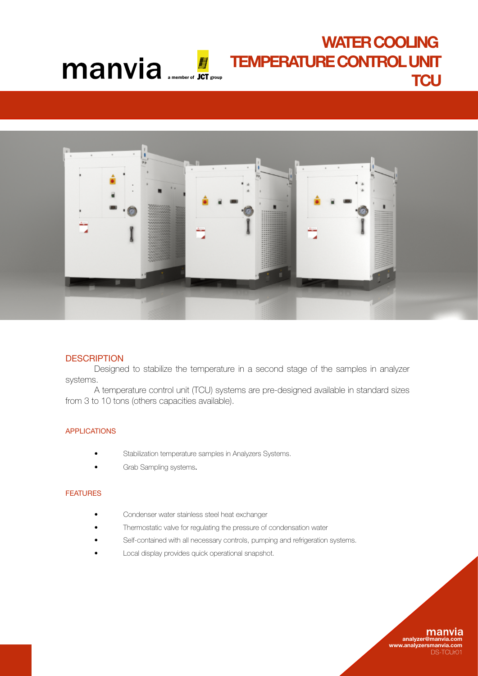# WATER COOLING TEMPERATURE CONTROL UNIT **Manvia ENPERATURE CONTROL UNIT**



# **DESCRIPTION**

Designed to stabilize the temperature in a second stage of the samples in analyzer systems.

 A temperature control unit (TCU) systems are pre-designed available in standard sizes from 3 to 10 tons (others capacities available).

# APPLICATIONS

- Stabilization temperature samples in Analyzers Systems.
- Grab Sampling systems.

### **FEATURES**

- Condenser water stainless steel heat exchanger
- Thermostatic valve for regulating the pressure of condensation water
- Self-contained with all necessary controls, pumping and refrigeration systems.
- Local display provides quick operational snapshot.

## many analyzer@manvia

www.analyzersmanvia.com DS-TCLIM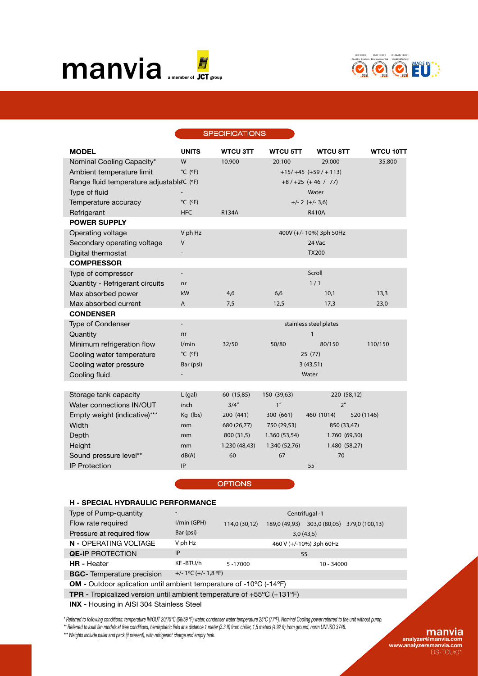



#### **SPECIFICATIONS**

| <b>MODEL</b>                             | <b>UNITS</b>                 | <b>WTCU 3TT</b> | <b>WTCU 5TT</b> | <b>WTCU 8TT</b>         | <b>WTCU 10TT</b> |  |
|------------------------------------------|------------------------------|-----------------|-----------------|-------------------------|------------------|--|
| Nominal Cooling Capacity*                | W                            | 10.900          | 20.100          | 29.000                  | 35.800           |  |
| Ambient temperature limit                | $^{\circ}$ C ( $^{\circ}$ F) |                 |                 | $+15/ +45 (+59/ + 113)$ |                  |  |
| Range fluid temperature adjustableC (°F) |                              |                 |                 | $+8/+25 (+46 / 77)$     |                  |  |
| Type of fluid                            |                              |                 |                 | Water                   |                  |  |
| Temperature accuracy                     | $^{\circ}$ C ( $^{\circ}$ F) |                 |                 | $+/- 2 (+/- 3,6)$       |                  |  |
| Refrigerant                              | <b>HFC</b>                   | R134A           |                 | <b>R410A</b>            |                  |  |
| <b>POWER SUPPLY</b>                      |                              |                 |                 |                         |                  |  |
| Operating voltage                        | V ph Hz                      |                 |                 | 400V (+/- 10%) 3ph 50Hz |                  |  |
| Secondary operating voltage              | V                            |                 |                 | 24 Vac                  |                  |  |
| Digital thermostat                       |                              |                 |                 | <b>TX200</b>            |                  |  |
| <b>COMPRESSOR</b>                        |                              |                 |                 |                         |                  |  |
| Type of compressor                       | $\overline{a}$               |                 |                 | Scroll                  |                  |  |
| Quantity - Refrigerant circuits          | nr                           |                 |                 | 1/1                     |                  |  |
| Max absorbed power                       | kW                           | 4,6             | 6,6             | 10,1                    | 13,3             |  |
| Max absorbed current                     | A                            | 7,5             | 12,5            | 17,3                    | 23,0             |  |
| <b>CONDENSER</b>                         |                              |                 |                 |                         |                  |  |
| Type of Condenser                        | $\overline{a}$               |                 |                 | stainless steel plates  |                  |  |
| Quantity                                 | n <sub>r</sub>               |                 |                 | $\mathbf{1}$            |                  |  |
| Minimum refrigeration flow               | l/min                        | 32/50           | 50/80           | 80/150                  | 110/150          |  |
| Cooling water temperature                | $^{\circ}$ C ( $^{\circ}$ F) |                 |                 | 25(77)                  |                  |  |
| Cooling water pressure                   | Bar (psi)                    |                 | 3(43,51)        |                         |                  |  |
| Cooling fluid                            |                              |                 | Water           |                         |                  |  |
|                                          |                              |                 |                 |                         |                  |  |
| Storage tank capacity                    | $L$ (gal)                    | 60 (15,85)      | 150 (39,63)     | 220 (58,12)             |                  |  |
| Water connections IN/OUT                 | inch                         | 3/4''           | 1 <sup>''</sup> | 2 <sup>n</sup>          |                  |  |
| Empty weight (indicative)***             | Kg (lbs)                     | 200 (441)       | 300 (661)       | 460 (1014)              | 520 (1146)       |  |
| Width                                    | mm                           | 680 (26,77)     | 750 (29,53)     | 850 (33,47)             |                  |  |
| Depth                                    | mm                           | 800 (31,5)      | 1.360 (53,54)   | 1.760 (69,30)           |                  |  |
| Height                                   | mm                           | 1.230 (48,43)   | 1.340 (52,76)   | 1.480 (58,27)           |                  |  |
| Sound pressure level**                   | dB(A)                        | 60              | 67              | 70                      |                  |  |
| <b>IP Protection</b>                     | IP                           |                 |                 | 55                      |                  |  |
|                                          |                              |                 |                 |                         |                  |  |

**OPTIONS** 

#### H - SPECIAL HYDRAULIC PERFORMANCE Type of Pump-quantity Flow rate required Pressure at required flow N - OPERATING VOLTAGE **QE-IP PROTECTION** HR - Heater BGC- Temperature precision OM - Outdoor aplication until ambient temperature of -10ºC (-14ºF) TPR - Tropicalized version until ambient temperature of +55ºC (+131ºF) l/min (GPH) Bar (psi) V ph Hz IP KE -BTU/h +/- 1ºC (+/- 1,8 ºF) Centrifugal -1 114,0 (30,12) 189,0 (49,93) 303,0 (80,05) 379,0 (100,13) 3,0 (43,5) 460 V (+/-10%) 3ph 60Hz 55 5 -17000 10 - 34000

INX - Housing in AISI 304 Stainless Steel

*\* Referred to following conditions: temperature IN/OUT 20/15°C (68/59 ºF) water, condenser water temperature 25°C (77ºF). Nominal Cooling power referred to the unit without pump.*

\*\* Referred to axial fan models at free conditions, hemispheric field at a distance 1 meter (3.3 ft) from chiller, 1,5 meters (4.92 ft) from ground, norm UNI ISO 3746.

*\*\*\* Weights include pallet and pack (if present), with refrigerant charge and empty tank.*

### manvia analyzer@manvia.com

www.analyzersmanvia.com DS-TCUr01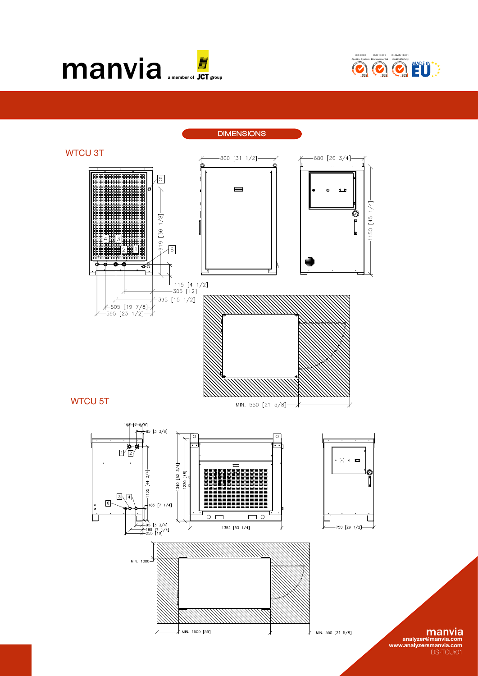



**DIMENSIONS** 



DS-TCUr01